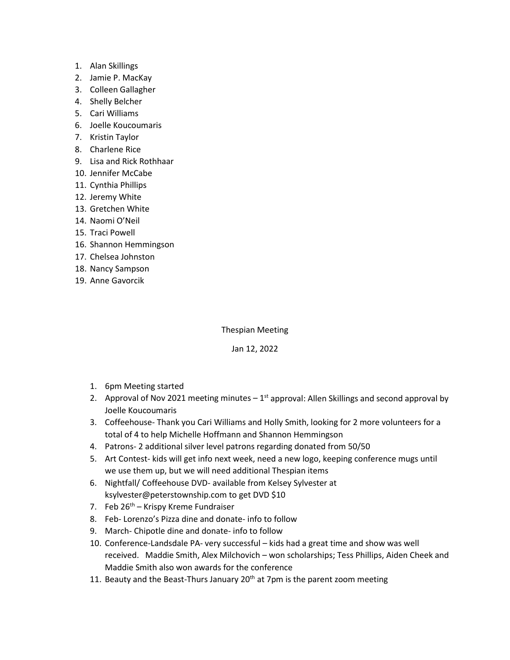- 1. Alan Skillings
- 2. Jamie P. MacKay
- 3. Colleen Gallagher
- 4. Shelly Belcher
- 5. Cari Williams
- 6. Joelle Koucoumaris
- 7. Kristin Taylor
- 8. Charlene Rice
- 9. Lisa and Rick Rothhaar
- 10. Jennifer McCabe
- 11. Cynthia Phillips
- 12. Jeremy White
- 13. Gretchen White
- 14. Naomi O'Neil
- 15. Traci Powell
- 16. Shannon Hemmingson
- 17. Chelsea Johnston
- 18. Nancy Sampson
- 19. Anne Gavorcik

Thespian Meeting

## Jan 12, 2022

- 1. 6pm Meeting started
- 2. Approval of Nov 2021 meeting minutes  $-1^{st}$  approval: Allen Skillings and second approval by Joelle Koucoumaris
- 3. Coffeehouse- Thank you Cari Williams and Holly Smith, looking for 2 more volunteers for a total of 4 to help Michelle Hoffmann and Shannon Hemmingson
- 4. Patrons- 2 additional silver level patrons regarding donated from 50/50
- 5. Art Contest- kids will get info next week, need a new logo, keeping conference mugs until we use them up, but we will need additional Thespian items
- 6. Nightfall/ Coffeehouse DVD- available from Kelsey Sylvester at ksylvester@peterstownship.com to get DVD \$10
- 7. Feb  $26^{th}$  Krispy Kreme Fundraiser
- 8. Feb- Lorenzo's Pizza dine and donate- info to follow
- 9. March- Chipotle dine and donate- info to follow
- 10. Conference-Landsdale PA- very successful kids had a great time and show was well received. Maddie Smith, Alex Milchovich – won scholarships; Tess Phillips, Aiden Cheek and Maddie Smith also won awards for the conference
- 11. Beauty and the Beast-Thurs January  $20<sup>th</sup>$  at 7pm is the parent zoom meeting